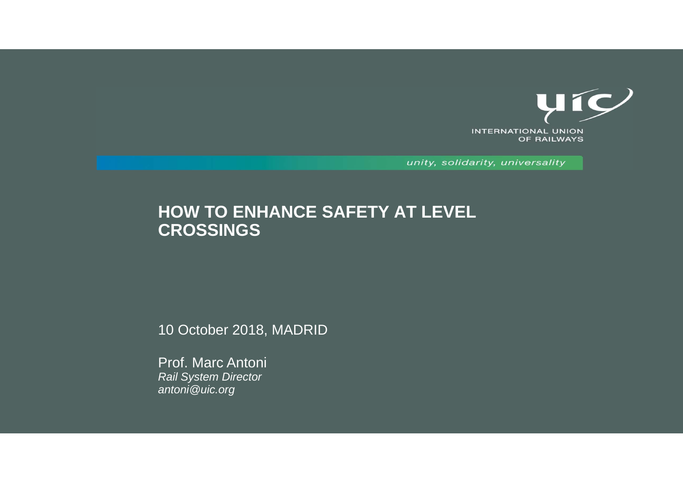

unity, solidarity, universality

### **HOW TO ENHANCE SAFETY AT LEVEL CROSSINGS**

10 October 2018, MADRID

Prof. Marc Antoni *Rail System Director antoni@uic.org*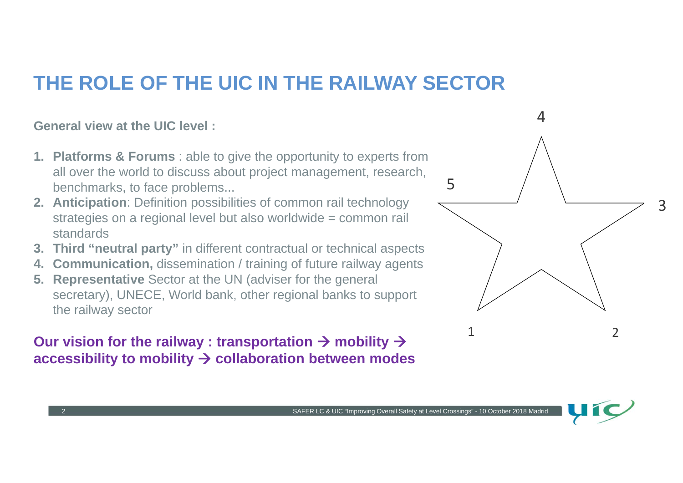**General view at the UIC level :**

- **1. Platforms & Forums** : able to give the opportunity to experts from all over the world to discuss about project management, research, benchmarks, to face problems...
- **2. Anticipation**: Definition possibilities of common rail technology strategies on a regional level but also worldwide = common rail standards
- **3. Third "neutral party"** in different contractual or technical aspects
- **4. Communication,** dissemination / training of future railway agents
- **5. Representative** Sector at the UN (adviser for the general secretary), UNECE, World bank, other regional banks to support the railway sector

### **Our vision for the railway : transportation mobility accessibility to mobility collaboration between modes**



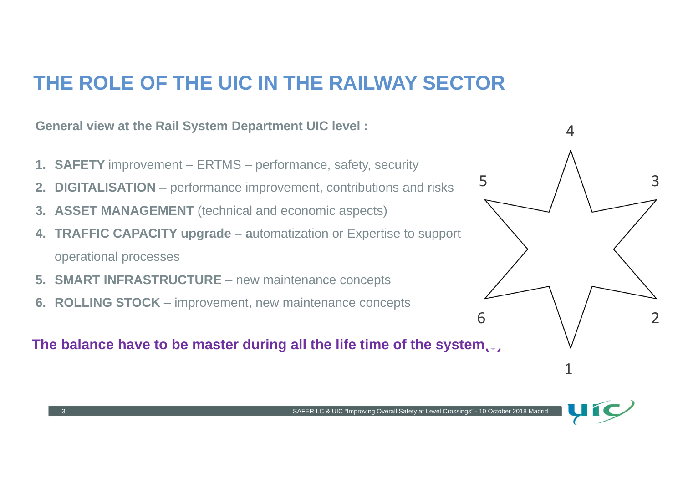**General view at the Rail System Department UIC level :**

- **1. SAFETY** improvement ERTMS performance, safety, security
- **2. DIGITALISATION**  performance improvement, contributions and risks
- **3. ASSET MANAGEMENT** (technical and economic aspects)
- **4. TRAFFIC CAPACITY upgrade – <sup>a</sup>**utomatization or Expertise to support operational processes
- **5. SMART INFRASTRUCTURE**  new maintenance concepts
- **6. ROLLING STOCK**  improvement, new maintenance concepts

**The balance have to be master during all the life time of the system...** 



1

4

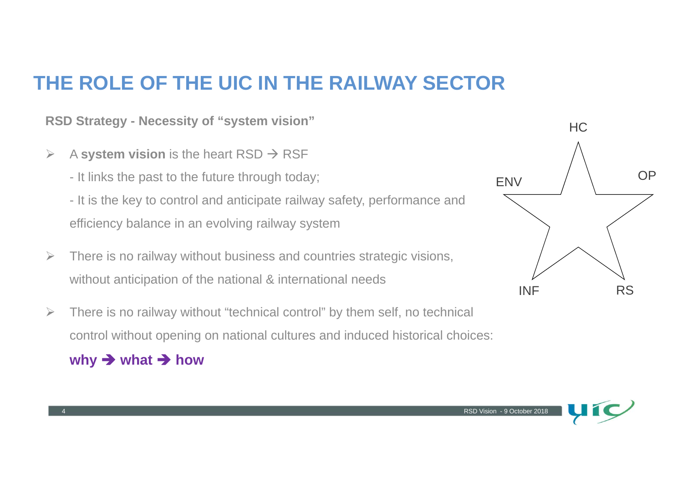**RSD Strategy - Necessity of "system vision"**

- $\blacktriangleright$  $\triangleright$  A system vision is the heart RSD  $\rightarrow$  RSF
	- It links the past to the future through today;
	- It is the key to control and anticipate railway safety, performance and efficiency balance in an evolving railway system
- $\blacktriangleright$  There is no railway without business and countries strategic visions, without anticipation of the national & international needs
- $\sum_{i=1}^{n}$  There is no railway without "technical control" by them self, no technical control without opening on national cultures and induced historical choices:



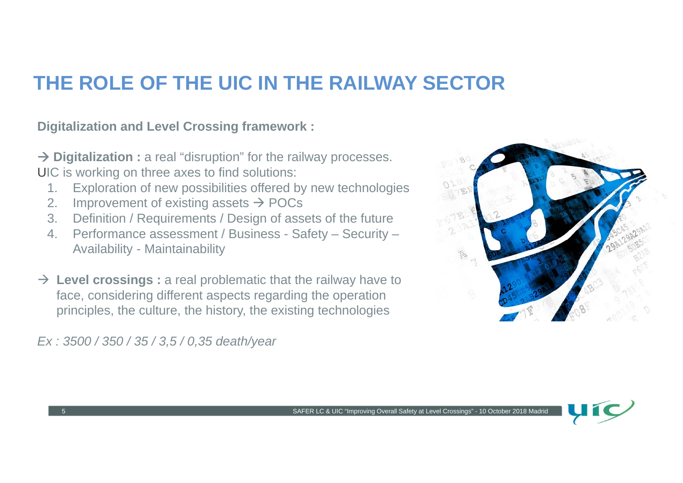#### **Digitalization and Level Crossing framework :**

→ **Digitalization :** a real "disruption" for the railway processes. UIC is working on three axes to find solutions:

- 1. Exploration of new possibilities offered by new technologies
- 2. Improvement of existing assets  $\rightarrow$  POCs
- 3. Definition / Requirements / Design of assets of the future
- 4. Performance assessment / Business Safety Security Availability - Maintainability
- → Level crossings : a real problematic that the railway have to face, considering different aspects regarding the operation principles, the culture, the history, the existing technologies

*Ex : 3500 / 350 / 35 / 3,5 / 0,35 death/year*



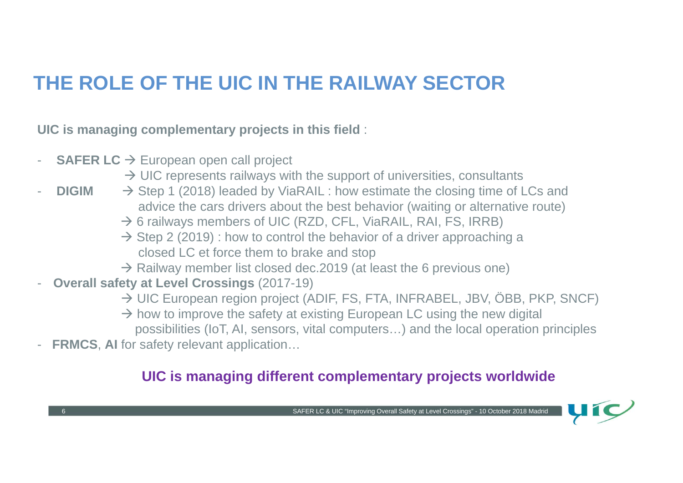**UIC is managing complementary projects in this field** :

- **SAFER LC → European open call project** 
	- $\rightarrow$  UIC represents railways with the support of universities, consultants
- **DIGIM** $\rightarrow$  Step 1 (2018) leaded by ViaRAIL : how estimate the closing time of LCs and advice the cars drivers about the best behavior (waiting or alternative route)
	- $\rightarrow$  6 railways members of UIC (RZD, CFL, ViaRAIL, RAI, FS, IRRB)
	- $\rightarrow$  Step 2 (2019) : how to control the behavior of a driver approaching a closed LC et force them to brake and stop
	- $\rightarrow$  Railway member list closed dec.2019 (at least the 6 previous one)
- **Overall safety at Level Crossings** (2017-19)
	- → UIC European region project (ADIF, FS, FTA, INFRABEL, JBV, ÖBB, PKP, SNCF)
	- $\rightarrow$  how to improve the safety at existing European LC using the new digital
		- possibilities (IoT, AI, sensors, vital computers…) and the local operation principles
- **FRMCS**, **AI** for safety relevant application…

### **UIC is managing different complementary projects worldwide**

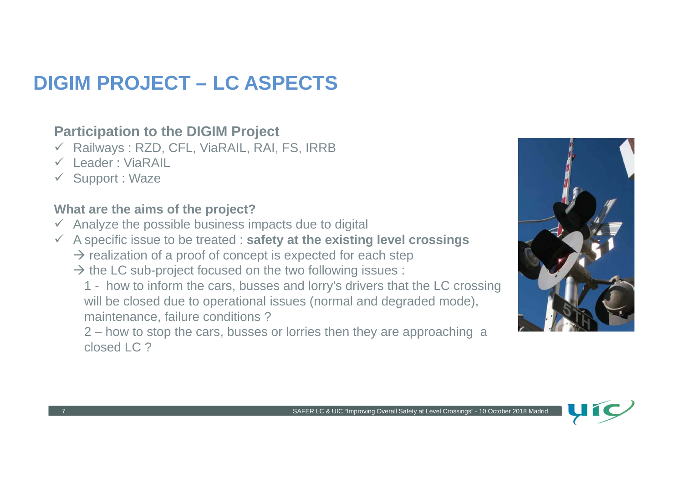## **DIGIM PROJECT – LC ASPECTS**

### **Participation to the DIGIM Project**

- Railways : RZD, CFL, ViaRAIL, RAI, FS, IRRB
- Leader : ViaRAIL
- Support : Waze

#### **What are the aims of the project?**

- $\checkmark$  Analyze the possible business impacts due to digital
- A specific issue to be treated : **safety at the existing level crossings**  $\rightarrow$  realization of a proof of concept is expected for each step
	- $\rightarrow$  the LC sub-project focused on the two following issues :
		- 1 how to inform the cars, busses and lorry's drivers that the LC crossing will be closed due to operational issues (normal and degraded mode), maintenance, failure conditions ?

2 – how to stop the cars, busses or lorries then they are approaching a closed LC ?



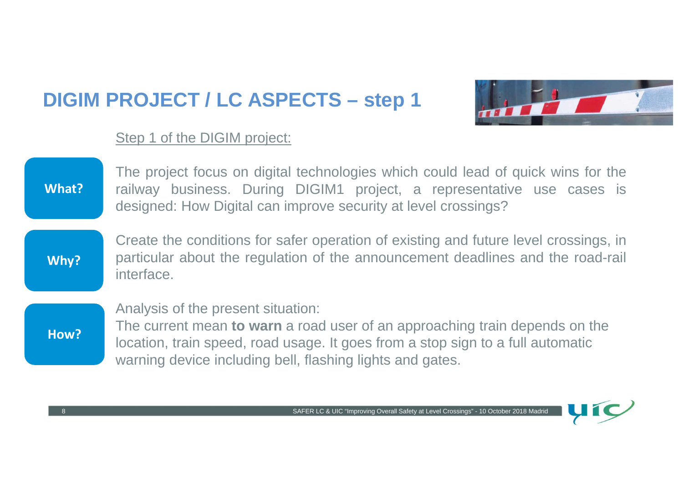

#### Step 1 of the DIGIM project:

The project focus on digital technologies which could lead of quick wins for the railway business. During DIGIM1 project, <sup>a</sup> representative use cases is designed: How Digital can improve security at level crossings? **What?**

**Why?**

Create the conditions for safer operation of existing and future level crossings, in particular about the regulation of the announcement deadlines and the road-rail interface.

**How?**

Analysis of the present situation:

The current mean **to warn** a road user of an approaching train depends on the location, train speed, road usage. It goes from a stop sign to a full automatic warning device including bell, flashing lights and gates.

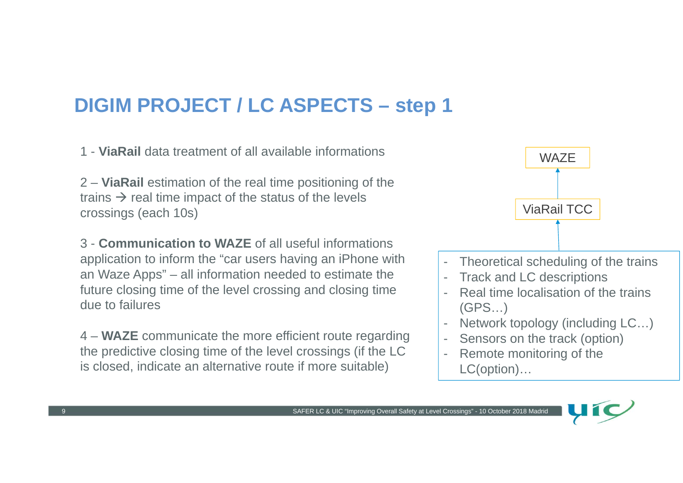1 - **ViaRail** data treatment of all available informations

2 – **ViaRail** estimation of the real time positioning of the trains  $\rightarrow$  real time impact of the status of the levels crossings (each 10s)

3 - **Communication to WAZE** of all useful informations application to inform the "car users having an iPhone with an Waze Apps" – all information needed to estimate the future closing time of the level crossing and closing time due to failures

4 – **WAZE** communicate the more efficient route regarding the predictive closing time of the level crossings (if the LC is closed, indicate an alternative route if more suitable)

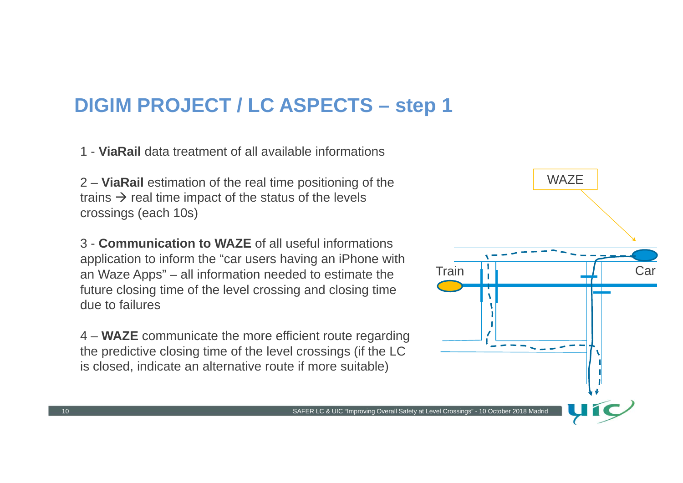1 - **ViaRail** data treatment of all available informations

2 – **ViaRail** estimation of the real time positioning of the trains  $\rightarrow$  real time impact of the status of the levels crossings (each 10s)

3 - **Communication to WAZE** of all useful informations application to inform the "car users having an iPhone with an Waze Apps" – all information needed to estimate the future closing time of the level crossing and closing time due to failures

4 – **WAZE** communicate the more efficient route regarding the predictive closing time of the level crossings (if the LC is closed, indicate an alternative route if more suitable)

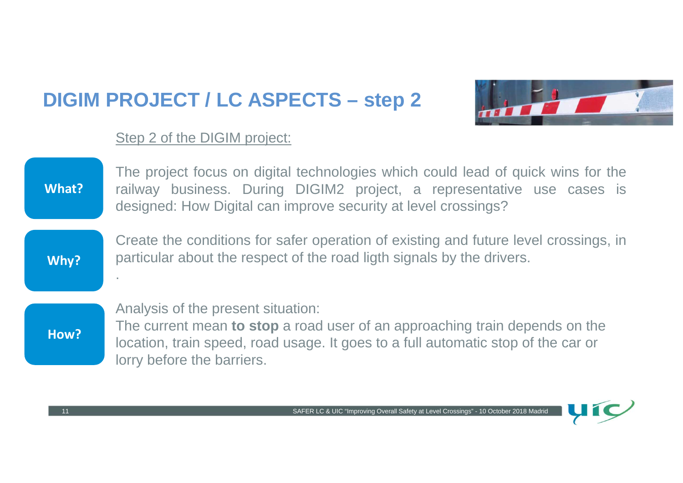

### Step 2 of the DIGIM project:

| What? | The project focus on digital technologies which could lead of quick wins for the<br>railway business. During DIGIM2 project, a representative use cases is<br>designed: How Digital can improve security at level crossings?         |
|-------|--------------------------------------------------------------------------------------------------------------------------------------------------------------------------------------------------------------------------------------|
| Why?  | Create the conditions for safer operation of existing and future level crossings, in<br>particular about the respect of the road ligth signals by the drivers.                                                                       |
| How?  | Analysis of the present situation:<br>The current mean to stop a road user of an approaching train depends on the<br>location, train speed, road usage. It goes to a full automatic stop of the car or<br>lorry before the barriers. |

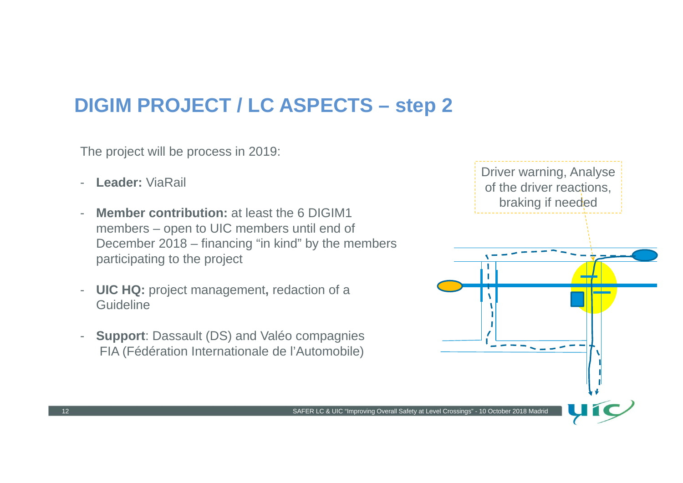The project will be process in 2019:

- **Leader:** ViaRail
- **Member contribution:** at least the 6 DIGIM1 members – open to UIC members until end of December 2018 – financing "in kind" by the members participating to the project
- - **UIC HQ:** project management**,** redaction of a Guideline
- **Support**: Dassault (DS) and Valéo compagnies FIA (Fédération Internationale de l'Automobile)

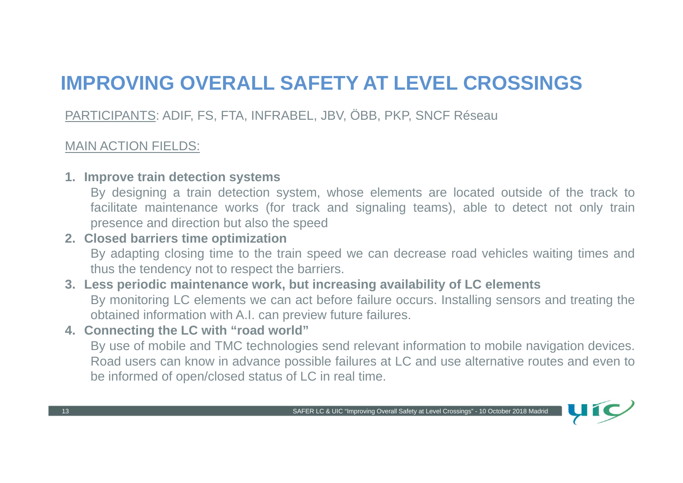### PARTICIPANTS: ADIF, FS, FTA, INFRABEL, JBV, ÖBB, PKP, SNCF Réseau

#### MAIN ACTION FIELDS:

#### **1. Improve train detection systems**

By designing <sup>a</sup> train detection system, whose elements are located outside of the track to facilitate maintenance works (for track and signaling teams), able to detect not only train presence and direction but also the speed

#### **2. Closed barriers time optimization**

By adapting closing time to the train speed we can decrease road vehicles waiting times and thus the tendency not to respect the barriers.

#### **3. Less periodic maintenance work, but increasing availability of LC elements** By monitoring LC elements we can act before failure occurs. Installing sensors and treating the obtained information with A.I. can preview future failures.

### **4. Connecting the LC with "road world"**

By use of mobile and TMC technologies send relevant information to mobile navigation devices. Road users can know in advance possible failures at LC and use alternative routes and even to be informed of open/closed status of LC in real time.

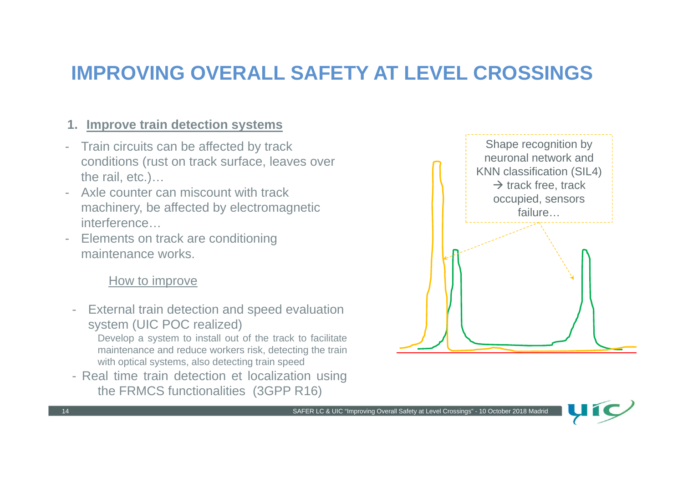#### **1. Improve train detection systems**

- Train circuits can be affected by track conditions (rust on track surface, leaves over the rail, etc.)…
- Axle counter can miscount with track machinery, be affected by electromagnetic interference…
- Elements on track are conditioning maintenance works.

#### How to improve

- External train detection and speed evaluation system (UIC POC realized)

Develop <sup>a</sup> system to install out of the track to facilitate maintenance and reduce workers risk, detecting the train with optical systems, also detecting train speed

- Real time train detection et localization using the FRMCS functionalities (3GPP R16)



SAFER LC & UIC "Improving Overall Safety at Level Crossings" - 10 October 2018 Madrid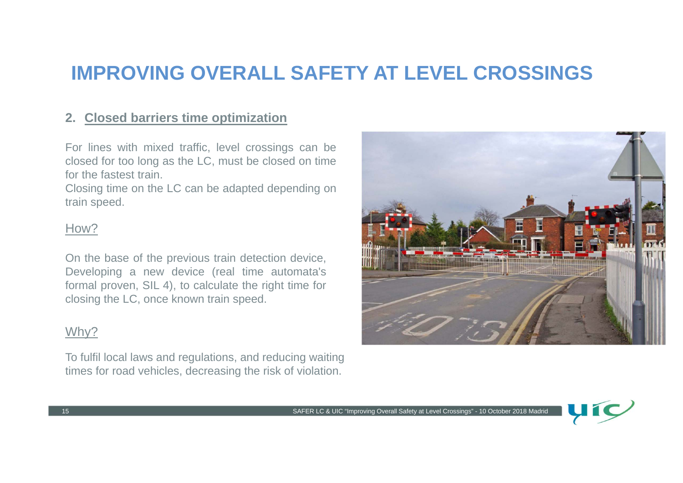#### **2. Closed barriers time optimization**

For lines with mixed traffic, level crossings can be closed for too long as the LC, must be closed on time for the fastest train.

Closing time on the LC can be adapted depending on train speed.

#### How?

On the base of the previous train detection device, Developing <sup>a</sup> new device (real time automata's formal proven, SIL 4), to calculate the right time for closing the LC, once known train speed.

#### Why?

To fulfil local laws and regulations, and reducing waiting times for road vehicles, decreasing the risk of violation.



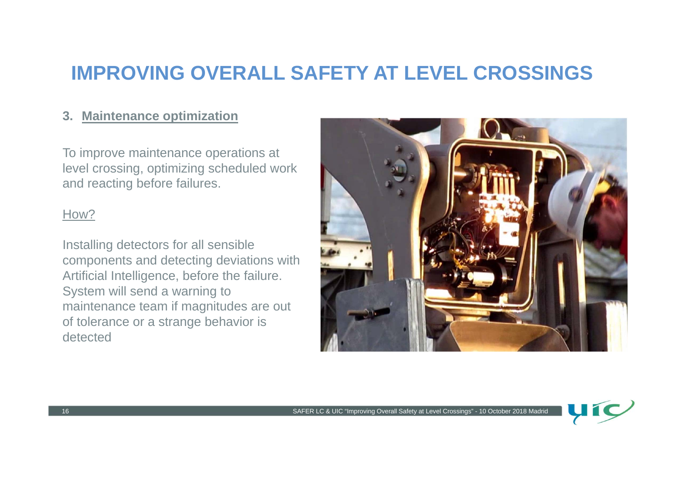#### **3. Maintenance optimization**

To improve maintenance operations at level crossing, optimizing scheduled work and reacting before failures.

#### How?

Installing detectors for all sensible components and detecting deviations with Artificial Intelligence, before the failure. System will send a warning to maintenance team if magnitudes are out of tolerance or a strange behavior is detected



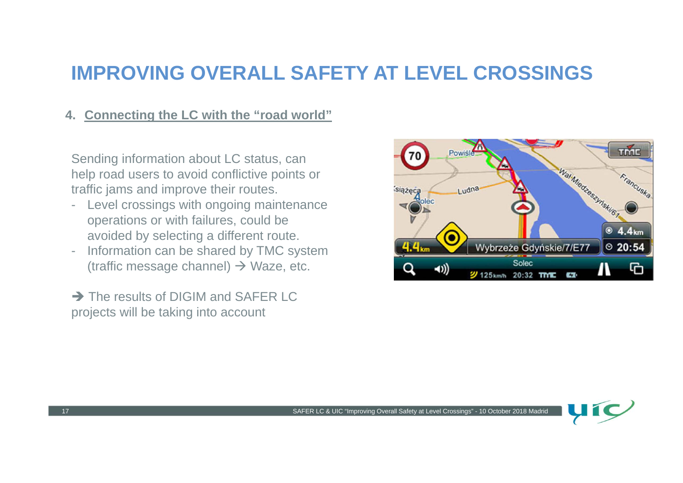#### **4. Connecting the LC with the "road world"**

Sending information about LC status, can help road users to avoid conflictive points or traffic jams and improve their routes.

- Level crossings with ongoing maintenance operations or with failures, could be avoided by selecting a different route.
- Information can be shared by TMC system (traffic message channel)  $\rightarrow$  Waze, etc.

 $\rightarrow$  The results of DIGIM and SAFER LC projects will be taking into account

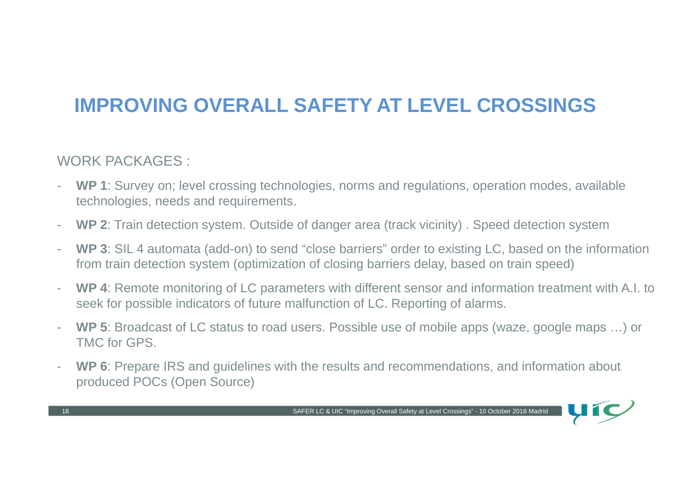### WORK PACKAGES :

- **WP 1**: Survey on; level crossing technologies, norms and regulations, operation modes, available technologies, needs and requirements.
- -**WP 2**: Train detection system. Outside of danger area (track vicinity) . Speed detection system
- - **WP 3**: SIL 4 automata (add-on) to send "close barriers" order to existing LC, based on the information from train detection system (optimization of closing barriers delay, based on train speed)
- - **WP 4**: Remote monitoring of LC parameters with different sensor and information treatment with A.I. to seek for possible indicators of future malfunction of LC. Reporting of alarms.
- - **WP 5**: Broadcast of LC status to road users. Possible use of mobile apps (waze, google maps …) or TMC for GPS.
- - **WP 6**: Prepare IRS and guidelines with the results and recommendations, and information about produced POCs (Open Source)

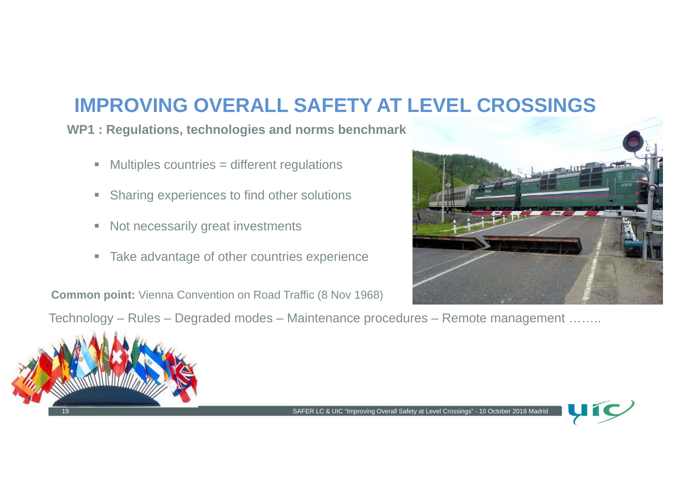**WP1 : Regulations, technologies and norms benchmark**

- $\blacksquare$ Multiples countries = different regulations
- ×. Sharing experiences to find other solutions
- ×, Not necessarily great investments
- $\blacksquare$ Take advantage of other countries experience

**Common point:** Vienna Convention on Road Traffic (8 Nov 1968)

Technology – Rules – Degraded modes – Maintenance procedures – Remote management ……..



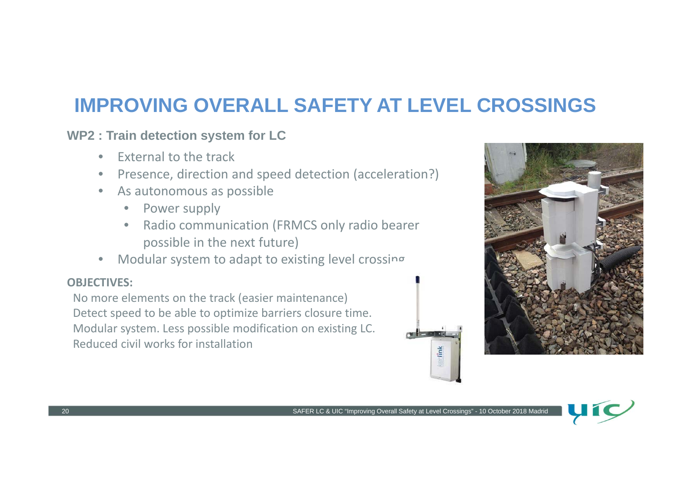#### **WP2 : Train detection system for LC**

- •• External to the track
- •Presence, direction and speed detection (acceleration?)
- $\bullet$  As autonomous as possible
	- $\bullet$ Power supply
	- $\bullet$ • Radio communication (FRMCS only radio bearer possible in the next future)
- •Modular system to adapt to existing level crossing

#### **OBJECTIVES:**

No more elements on the track (easier maintenance) Detect speed to be able to optimize barriers closure time. Modular system. Less possible modification on existing LC. Reduced civil works for installation



link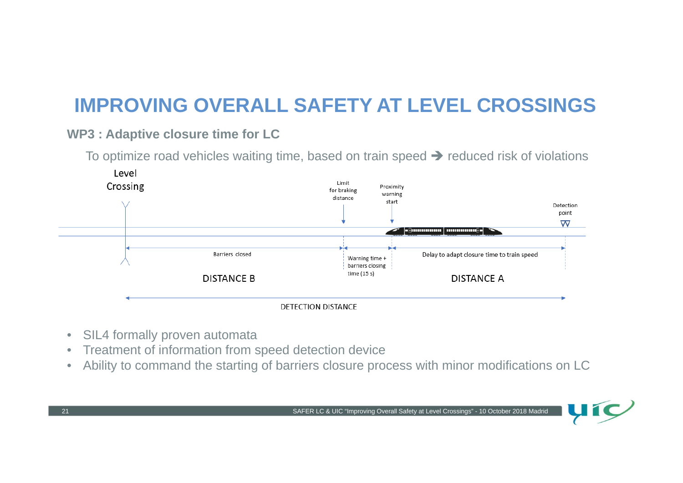#### **WP3 : Adaptive closure time for LC**

To optimize road vehicles waiting time, based on train speed  $\rightarrow$  reduced risk of violations



- $\bullet$ SIL4 formally proven automata
- $\bullet$ Treatment of information from speed detection device
- $\bullet$ Ability to command the starting of barriers closure process with minor modifications on LC

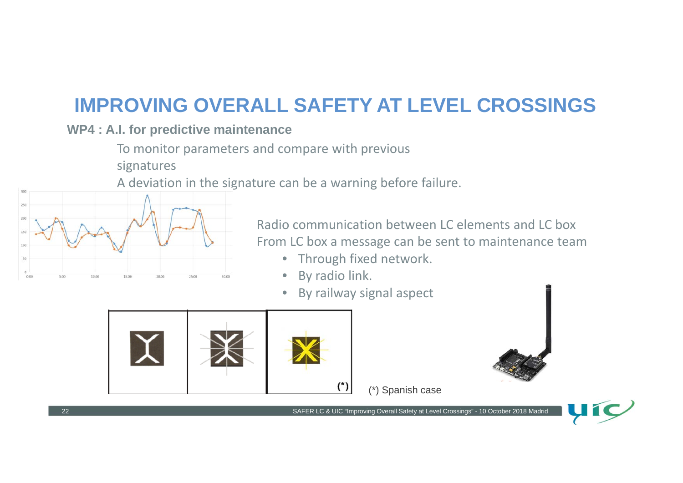#### **WP4 : A.I. for predictive maintenance**

To monitor parameters and compare with previous

signatures

A deviation in the signature can be <sup>a</sup> warning before failure.



Radio communication between LC elements and LC box From LC box <sup>a</sup> message can be sent to maintenance team

- $\bullet$ Through fixed network.
- $\bullet$ By radio link.
- •By railway signal aspect





(\*) Spanish case

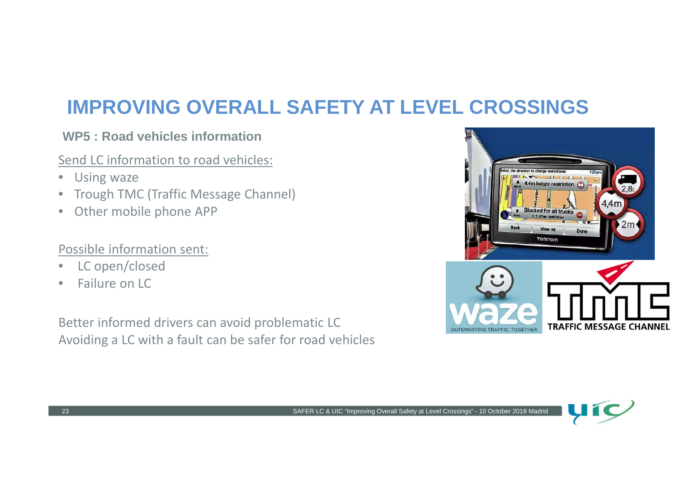#### **WP5 : Road vehicles information**

#### Send LC information to road vehicles:

- $\bullet$ Using waze
- •Trough TMC (Traffic Message Channel)
- •Other mobile phone APP

#### Possible information sent:

- •• LC open/closed
- •• Failure on LC

Better informed drivers can avoid problematic LC Avoiding <sup>a</sup> LC with <sup>a</sup> fault can be safer for road vehicles



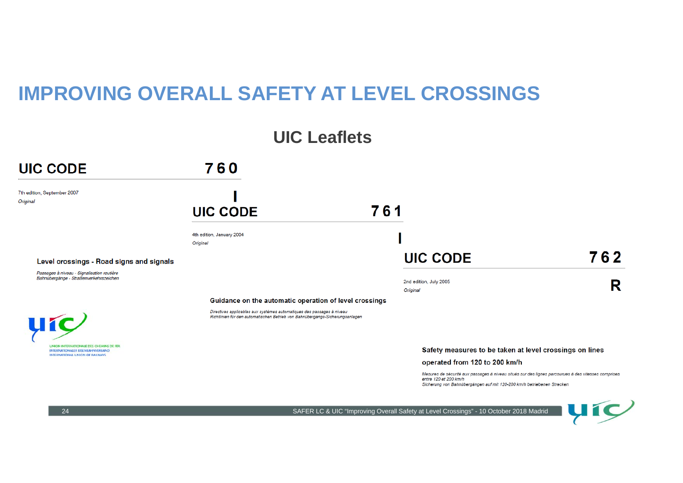

SAFER LC & UIC "Improving Overall Safety at Level Crossings" - 10 October 2018 Madrid